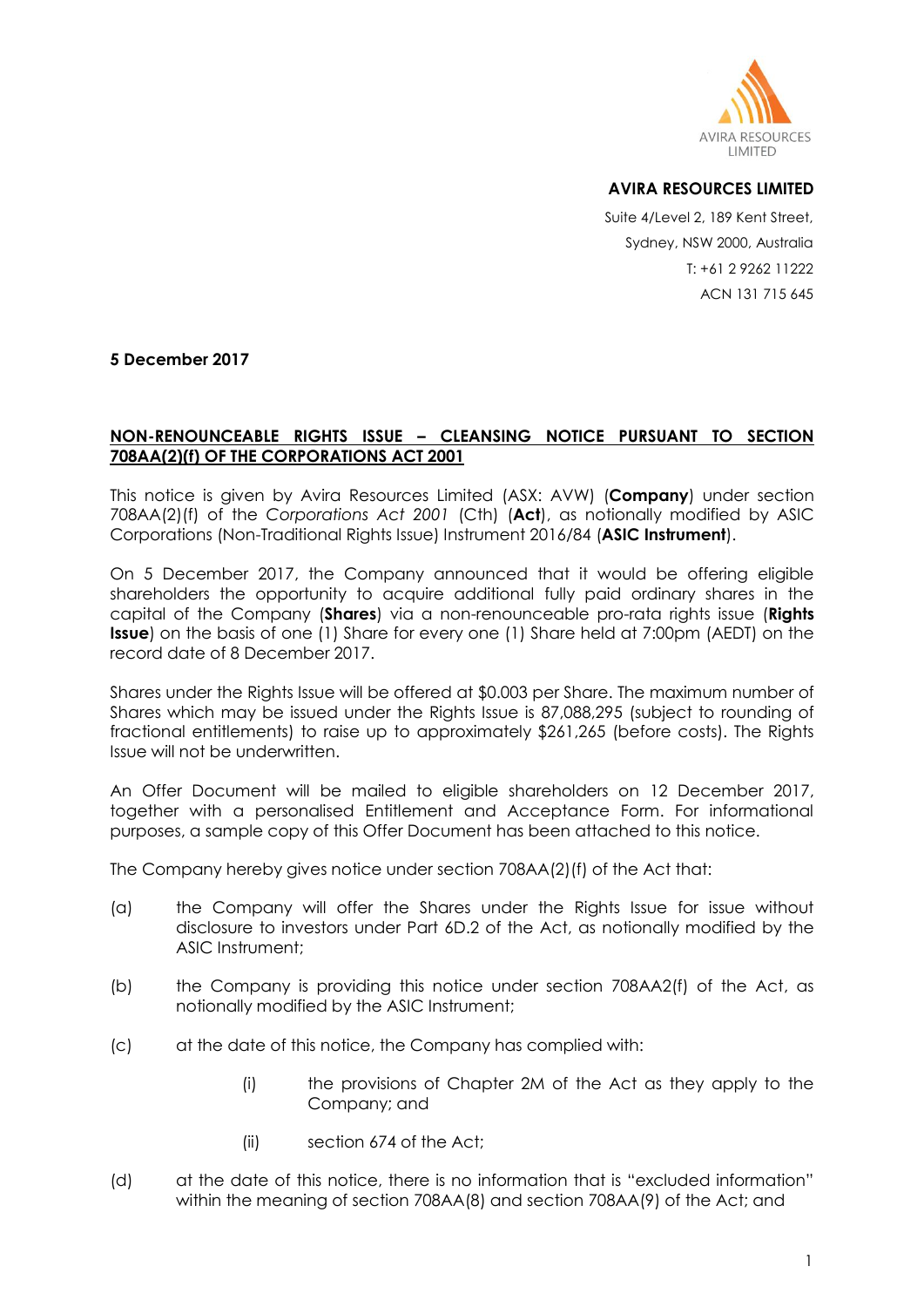

## **AVIRA RESOURCES LIMITED**

Suite 4/Level 2, 189 Kent Street, Sydney, NSW 2000, Australia T: +61 2 9262 11222 ACN 131 715 645

**5 December 2017**

## **NON-RENOUNCEABLE RIGHTS ISSUE – CLEANSING NOTICE PURSUANT TO SECTION 708AA(2)(f) OF THE CORPORATIONS ACT 2001**

This notice is given by Avira Resources Limited (ASX: AVW) (**Company**) under section 708AA(2)(f) of the *Corporations Act 2001* (Cth) (**Act**), as notionally modified by ASIC Corporations (Non-Traditional Rights Issue) Instrument 2016/84 (**ASIC Instrument**).

On 5 December 2017, the Company announced that it would be offering eligible shareholders the opportunity to acquire additional fully paid ordinary shares in the capital of the Company (**Shares**) via a non-renounceable pro-rata rights issue (**Rights Issue**) on the basis of one (1) Share for every one (1) Share held at 7:00pm (AEDT) on the record date of 8 December 2017.

Shares under the Rights Issue will be offered at \$0.003 per Share. The maximum number of Shares which may be issued under the Rights Issue is 87,088,295 (subject to rounding of fractional entitlements) to raise up to approximately \$261,265 (before costs). The Rights Issue will not be underwritten.

An Offer Document will be mailed to eligible shareholders on 12 December 2017, together with a personalised Entitlement and Acceptance Form. For informational purposes, a sample copy of this Offer Document has been attached to this notice.

The Company hereby gives notice under section 708AA(2)(f) of the Act that:

- (a) the Company will offer the Shares under the Rights Issue for issue without disclosure to investors under Part 6D.2 of the Act, as notionally modified by the ASIC Instrument;
- (b) the Company is providing this notice under section 708AA2(f) of the Act, as notionally modified by the ASIC Instrument;
- (c) at the date of this notice, the Company has complied with:
	- (i) the provisions of Chapter 2M of the Act as they apply to the Company; and
	- (ii) section 674 of the Act;
- (d) at the date of this notice, there is no information that is "excluded information" within the meaning of section 708AA(8) and section 708AA(9) of the Act; and